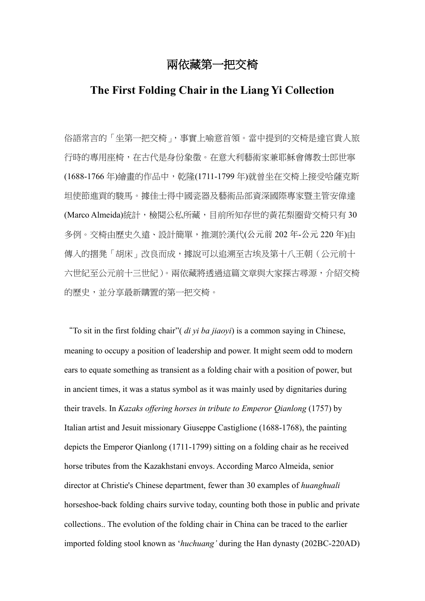# 兩依藏第一把交椅

## **The First Folding Chair in the Liang Yi Collection**

俗語常言的「坐第一把交椅」,事實上喻意首領。當中提到的交椅是達官貴人旅 行時的專用座椅,在古代是身份象徵。在意大利藝術家兼耶穌會傳教士郎世寧 (1688-1766 年)繪畫的作品中,乾隆(1711-1799 年)就曾坐在交椅上接受哈薩克斯 坦使節進貢的駿馬。據佳士得中國瓷器及藝術品部資深國際專家暨主管安偉達 (Marco Almeida)統計,檢閱公私所藏,目前所知存世的黃花梨圈背交椅只有 30 多例。交椅由歷史久遠、設計簡單,推測於漢代(公元前 202 年-公元 220 年)由 傳入的摺凳「胡床」改良而成,據說可以追溯至古埃及第十八王朝(公元前十 六世紀至公元前十三世紀)。兩依藏將透過這篇文章與大家探古尋源,介紹交椅 的歷史,並分享最新購置的第一把交椅。

"To sit in the first folding chair"( *di yi ba jiaoyi*) is a common saying in Chinese, meaning to occupy a position of leadership and power. It might seem odd to modern ears to equate something as transient as a folding chair with a position of power, but in ancient times, it was a status symbol as it was mainly used by dignitaries during their travels. In *Kazaks offering horses in tribute to Emperor Qianlong* (1757) by Italian artist and Jesuit missionary Giuseppe Castiglione (1688-1768), the painting depicts the Emperor Qianlong (1711-1799) sitting on a folding chair as he received horse tributes from the Kazakhstani envoys. According Marco Almeida, senior director at Christie's Chinese department, fewer than 30 examples of *huanghuali* horseshoe-back folding chairs survive today, counting both those in public and private collections.. The evolution of the folding chair in China can be traced to the earlier imported folding stool known as '*huchuang'* during the Han dynasty (202BC-220AD)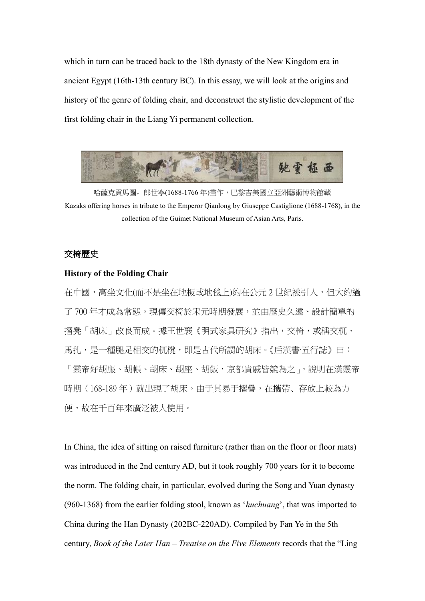which in turn can be traced back to the 18th dynasty of the New Kingdom era in ancient Egypt (16th-13th century BC). In this essay, we will look at the origins and history of the genre of folding chair, and deconstruct the stylistic development of the first folding chair in the Liang Yi permanent collection.



哈薩克貢馬圖,郎世寧(1688-1766年)畫作,巴黎吉美國立亞洲藝術博物館藏 Kazaks offering horses in tribute to the Emperor Qianlong by Giuseppe Castiglione (1688-1768), in the collection of the Guimet National Museum of Asian Arts, Paris.

### 交椅歷史

#### **History of the Folding Chair**

在中國,高坐文化(而不是坐在地板或地毯上)約在公元 2 世紀被引入,但大約過 了 700 年才成為常態。現傳交椅於宋元時期發展,並由歷史久遠、設計簡單的 摺凳「胡床」改良而成。據王世襄《明式家具研究》指出,交椅,或稱交杌、 馬扎,是一種腿足相交的杌櫈,即是古代所謂的胡床。《后漢書·五行誌》曰: 「靈帝好胡服、胡帳、胡床、胡座、胡飯,京都貴戚皆競為之」,說明在漢靈帝 時期(168-189年)就出現了胡床。由于其易于摺疊,在攜帶、存放上較為方 便,故在千百年來廣泛被人使用。

In China, the idea of sitting on raised furniture (rather than on the floor or floor mats) was introduced in the 2nd century AD, but it took roughly 700 years for it to become the norm. The folding chair, in particular, evolved during the Song and Yuan dynasty (960-1368) from the earlier folding stool, known as '*huchuang*', that was imported to China during the Han Dynasty (202BC-220AD). Compiled by Fan Ye in the 5th century, *Book of the Later Han – Treatise on the Five Elements* records that the "Ling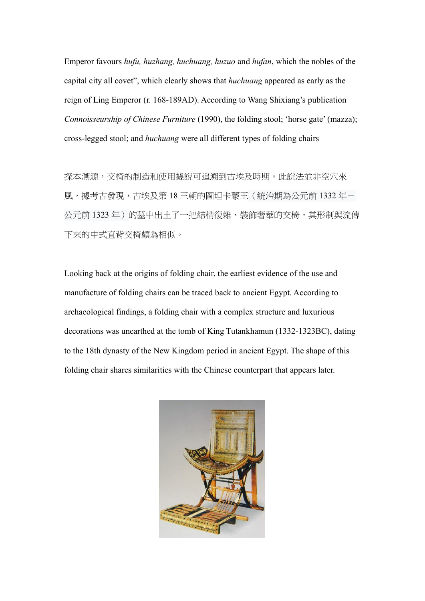Emperor favours *hufu, huzhang, huchuang, huzuo* and *hufan*, which the nobles of the capital city all covet", which clearly shows that *huchuang* appeared as early as the reign of Ling Emperor (r. 168-189AD). According to Wang Shixiang's publication *Connoisseurship of Chinese Furniture* (1990), the folding stool; 'horse gate' (mazza); cross-legged stool; and *huchuang* were all different types of folding chairs

探本溯源,交椅的制造和使用據說可追溯到古埃及時期。此說法並非空穴來 風,據考古發現,古埃及第18王朝的圖坦卡蒙王(統治期為公元前1332年-公元前 1323 年)的墓中出土了一把結構復雜、裝飾奢華的交椅,其形制與流傳 下來的中式直背交椅頗為相似。

Looking back at the origins of folding chair, the earliest evidence of the use and manufacture of folding chairs can be traced back to ancient Egypt. According to archaeological findings, a folding chair with a complex structure and luxurious decorations was unearthed at the tomb of King Tutankhamun (1332-1323BC), dating to the 18th dynasty of the New Kingdom period in ancient Egypt. The shape of this folding chair shares similarities with the Chinese counterpart that appears later.

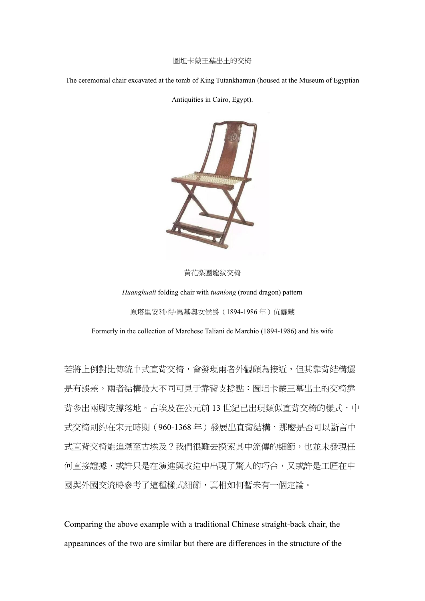#### 圖坦卡蒙王墓出土的交椅

The ceremonial chair excavated at the tomb of King Tutankhamun (housed at the Museum of Egyptian

Antiquities in Cairo, Egypt).



黃花梨團龍紋交椅

*Huanghuali* folding chair with *tuanlong* (round dragon) pattern 原塔里安利·得·馬基奧女侯爵(1894-1986年)伉儷藏

Formerly in the collection of Marchese Taliani de Marchio (1894-1986) and his wife

若將上例對比傳統中式直背交椅,會發現兩者外觀頗為接近,但其靠背結構還 是有誤差。兩者結構最大不同可見于靠背支撐點:圖坦卡蒙王墓出土的交椅靠 背多出兩腳支撑落地。古埃及在公元前13世紀已出現類似直背交椅的樣式,中 式交椅則約在宋元時期(960-1368 年)發展出直背結構,那麼是否可以斷言中 式直背交椅能追溯至古埃及?我們很難去摸索其中流傳的細節,也並未發現任 何直接證據,或許只是在演進與改造中出現了驚人的巧合,又或許是工匠在中 國與外國交流時參考了這種樣式細節,真相如何暫未有一個定論。

Comparing the above example with a traditional Chinese straight-back chair, the appearances of the two are similar but there are differences in the structure of the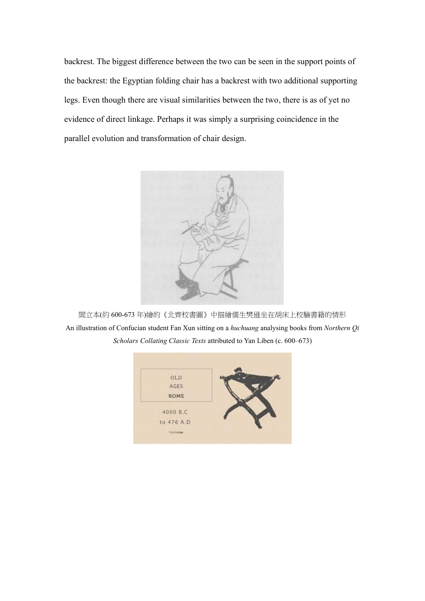backrest. The biggest difference between the two can be seen in the support points of the backrest: the Egyptian folding chair has a backrest with two additional supporting legs. Even though there are visual similarities between the two, there is as of yet no evidence of direct linkage. Perhaps it was simply a surprising coincidence in the parallel evolution and transformation of chair design.



閻立本(約 600-673 年)繪的《北齊校書圖》中描繪儒生樊遜坐在胡床上校驗書籍的情形 An illustration of Confucian student Fan Xun sitting on a *huchuang* analysing books from *Northern Qi Scholars Collating Classic Texts* attributed to Yan Liben (c. 600–673)

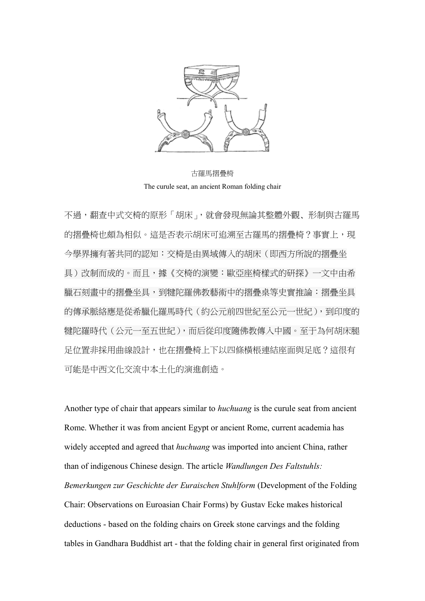

古羅馬摺疊椅 The curule seat, an ancient Roman folding chair

不過,翻查中式交椅的原形「胡床」,就會發現無論其整體外觀、形制與古羅馬 的摺疊椅也頗為相似。這是否表示胡床可追溯至古羅馬的摺疊椅?事實上,現 今學界擁有著共同的認知:交椅是由異域傳入的胡床(即西方所說的摺疊坐 具)改制而成的。而且,據《交椅的演變:歐亞座椅樣式的研探》一文中由希 臘石刻畫中的摺疊坐具,到犍陀羅佛教藝術中的摺疊桌等史實推論:摺疊坐具 的傳承脈絡應是從希臘化羅馬時代(約公元前四世紀至公元一世紀),到印度的 犍陀羅時代(公元一至五世紀),而后從印度隨佛教傳入中國。至于為何胡床腿 足位置非採用曲線設計,也在摺疊椅上下以四條橫棖連結座面與足底?這很有 可能是中西文化交流中本土化的演進創造。

Another type of chair that appears similar to *huchuang* is the curule seat from ancient Rome. Whether it was from ancient Egypt or ancient Rome, current academia has widely accepted and agreed that *huchuang* was imported into ancient China, rather than of indigenous Chinese design. The article *Wandlungen Des Faltstuhls: Bemerkungen zur Geschichte der Euraischen Stuhlform* (Development of the Folding Chair: Observations on Euroasian Chair Forms) by Gustav Ecke makes historical deductions - based on the folding chairs on Greek stone carvings and the folding tables in Gandhara Buddhist art - that the folding chair in general first originated from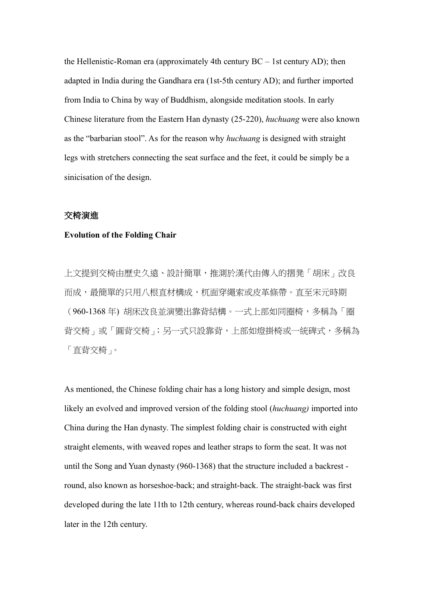the Hellenistic-Roman era (approximately 4th century BC – 1st century AD); then adapted in India during the Gandhara era (1st-5th century AD); and further imported from India to China by way of Buddhism, alongside meditation stools. In early Chinese literature from the Eastern Han dynasty (25-220), *huchuang* were also known as the "barbarian stool". As for the reason why *huchuang* is designed with straight legs with stretchers connecting the seat surface and the feet, it could be simply be a sinicisation of the design.

### 交椅演進

#### **Evolution of the Folding Chair**

上文提到交椅由歷史久遠、設計簡單,推測於漢代由傳入的摺凳「胡床」改良 而成,最簡單的只用八根直材構成,杌面穿繩索或皮革條帶。直至宋元時期 (960-1368 年) 胡床改良並演變出靠背結構。一式上部如同圈椅,多稱為「圈 背交椅」或「圓背交椅」;另一式只設靠背,上部如燈掛椅或一統碑式,多稱為 「直背交椅」。

As mentioned, the Chinese folding chair has a long history and simple design, most likely an evolved and improved version of the folding stool (*huchuang)* imported into China during the Han dynasty. The simplest folding chair is constructed with eight straight elements, with weaved ropes and leather straps to form the seat. It was not until the Song and Yuan dynasty (960-1368) that the structure included a backrest round, also known as horseshoe-back; and straight-back. The straight-back was first developed during the late 11th to 12th century, whereas round-back chairs developed later in the 12th century.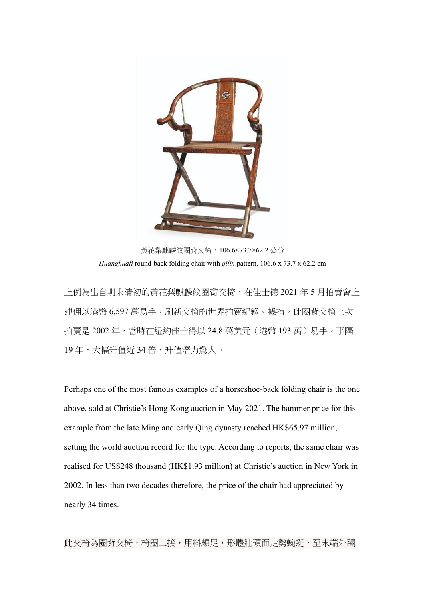

黃花梨麒麟紋圈背交椅,106.6×73.7×62.2 公分 *Huanghuali* round-back folding chair with *qilin* pattern, 106.6 x 73.7 x 62.2 cm

上例為出自明末清初的黃花梨麒麟紋圈背交椅,在佳士德 2021 年 5 月拍賣會上 連佣以港幣 6,597 萬易手,刷新交椅的世界拍賣紀錄。據指,此圈背交椅上次 拍賣是 2002年,當時在紐約佳士得以 24.8 萬美元 (港幣 193 萬)易手。事隔 19 年,大幅升值近 34 倍,升值潛力驚人。

Perhaps one of the most famous examples of a horseshoe-back folding chair is the one above, sold at Christie's Hong Kong auction in May 2021. The hammer price for this example from the late Ming and early Qing dynasty reached HK\$65.97 million, setting the world auction record for the type. According to reports, the same chair was realised for US\$248 thousand (HK\$1.93 million) at Christie's auction in New York in 2002. In less than two decades therefore, the price of the chair had appreciated by nearly 34 times.

此交椅為圈背交椅,椅圈三接,用料頗足,形體壯碩而走勢蜿蜒,至末端外翻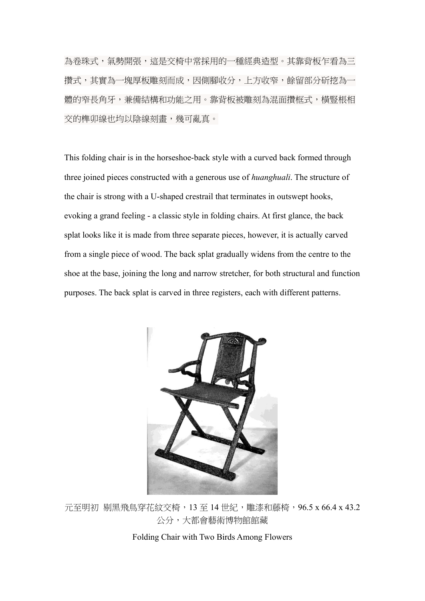為卷珠式,氣勢開張,這是交椅中常採用的一種經典造型。其靠背板乍看為三 攢式,其實為一塊厚板雕刻而成,因側腳收分,上方收窄,餘留部分斫挖為一 體的窄長角牙,兼備結構和功能之用。靠背板被雕刻為混面攢框式,橫豎棖相 交的榫卯線也均以陰線刻畫,幾可亂真。

This folding chair is in the horseshoe-back style with a curved back formed through three joined pieces constructed with a generous use of *huanghuali*. The structure of the chair is strong with a U-shaped crestrail that terminates in outswept hooks, evoking a grand feeling - a classic style in folding chairs. At first glance, the back splat looks like it is made from three separate pieces, however, it is actually carved from a single piece of wood. The back splat gradually widens from the centre to the shoe at the base, joining the long and narrow stretcher, for both structural and function purposes. The back splat is carved in three registers, each with different patterns.



元至明初 剔黑飛鳥穿花紋交椅,13 至 14 世紀,雕漆和藤椅,96.5 x 66.4 x 43.2 公分,大都會藝術博物館館藏

Folding Chair with Two Birds Among Flowers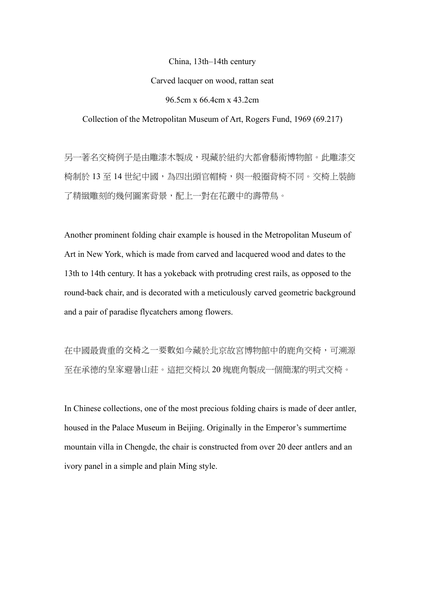China, 13th–14th century

#### Carved lacquer on wood, rattan seat

96.5cm x 66.4cm x 43.2cm

Collection of the Metropolitan Museum of Art, Rogers Fund, 1969 (69.217)

另一著名交椅例子是由雕漆木製成,現藏於紐約大都會藝術博物館。此雕漆交 椅制於 13 至 14 世紀中國,為四出頭官帽椅,與一般圈背椅不同。交椅上裝飾 了精緻雕刻的幾何圖案背景,配上一對在花叢中的壽帶鳥。

Another prominent folding chair example is housed in the Metropolitan Museum of Art in New York, which is made from carved and lacquered wood and dates to the 13th to 14th century. It has a yokeback with protruding crest rails, as opposed to the round-back chair, and is decorated with a meticulously carved geometric background and a pair of paradise flycatchers among flowers.

在中國最貴重的交椅之一要數如今藏於北京故宮博物館中的鹿角交椅,可溯源 至在承德的皇家避暑山莊。這把交椅以 20 塊鹿角製成一個簡潔的明式交椅。

In Chinese collections, one of the most precious folding chairs is made of deer antler, housed in the Palace Museum in Beijing. Originally in the Emperor's summertime mountain villa in Chengde, the chair is constructed from over 20 deer antlers and an ivory panel in a simple and plain Ming style.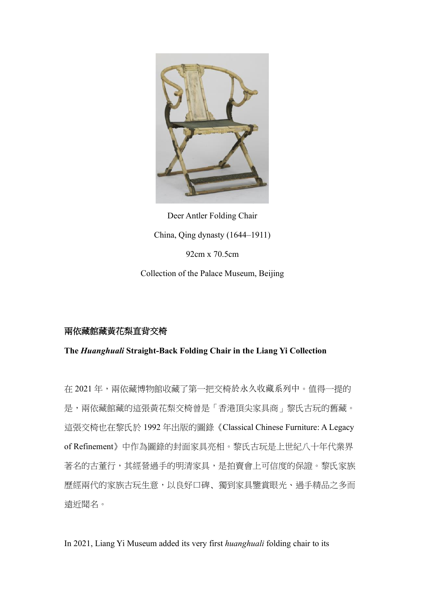

Deer Antler Folding Chair China, Qing dynasty (1644–1911) 92cm x 70.5cm Collection of the Palace Museum, Beijing

## 兩依藏館藏黃花梨直背交椅

**The** *Huanghuali* **Straight-Back Folding Chair in the Liang Yi Collection**

在 2021 年,兩依藏博物館收藏了第一把交椅於永久收藏系列中。值得一提的 是,兩依藏館藏的這張黃花梨交椅曾是「香港頂尖家具商」黎氏古玩的舊藏。 這張交椅也在黎氏於 1992 年出版的圖錄《Classical Chinese Furniture: A Legacy of Refinement》中作為圖錄的封面家具亮相。黎氏古玩是上世紀八十年代業界 著名的古董行,其經營過手的明清家具,是拍賣會上可信度的保證。黎氏家族 歷經兩代的家族古玩生意,以良好口碑﹑獨到家具鑒賞眼光、過手精品之多而 遠近聞名。

In 2021, Liang Yi Museum added its very first *huanghuali* folding chair to its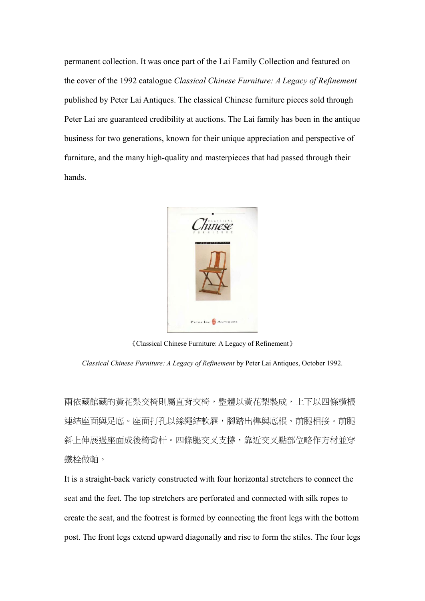permanent collection. It was once part of the Lai Family Collection and featured on the cover of the 1992 catalogue *Classical Chinese Furniture: A Legacy of Refinement* published by Peter Lai Antiques. The classical Chinese furniture pieces sold through Peter Lai are guaranteed credibility at auctions. The Lai family has been in the antique business for two generations, known for their unique appreciation and perspective of furniture, and the many high-quality and masterpieces that had passed through their hands.



《Classical Chinese Furniture: A Legacy of Refinement》

*Classical Chinese Furniture: A Legacy of Refinement* by Peter Lai Antiques, October 1992.

兩依藏館藏的黃花梨交椅則屬直背交椅,整體以黃花梨製成,上下以四條橫棖 連結座面與足底。座面打孔以絲繩結軟屜,腳踏出榫與底棖、前腿相接。前腿 斜上伸展過座面成後椅背杆。四條腿交叉支撐,靠近交叉點部位略作方材並穿 鐵栓做軸。

It is a straight-back variety constructed with four horizontal stretchers to connect the seat and the feet. The top stretchers are perforated and connected with silk ropes to create the seat, and the footrest is formed by connecting the front legs with the bottom post. The front legs extend upward diagonally and rise to form the stiles. The four legs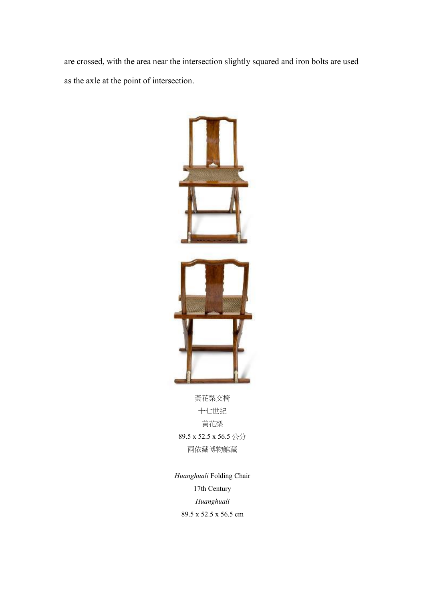are crossed, with the area near the intersection slightly squared and iron bolts are used as the axle at the point of intersection.



十七世紀 黃花梨 89.5 x 52.5 x 56.5 公分 兩依藏博物館藏

*Huanghuali* Folding Chair 17th Century *Huanghuali* 89.5 x 52.5 x 56.5 cm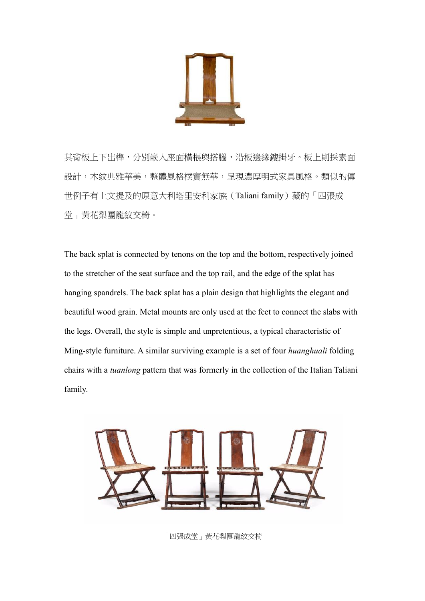

其背板上下出榫,分別嵌入座面橫棖與搭腦,沿板邊緣鎪掛牙。板上則採素面 設計,木紋典雅華美,整體風格樸實無華,呈現濃厚明式家具風格。類似的傳 世例子有上文提及的原意大利塔里安利家族(Taliani family)藏的「四張成 堂」黃花梨團龍紋交椅。

The back splat is connected by tenons on the top and the bottom, respectively joined to the stretcher of the seat surface and the top rail, and the edge of the splat has hanging spandrels. The back splat has a plain design that highlights the elegant and beautiful wood grain. Metal mounts are only used at the feet to connect the slabs with the legs. Overall, the style is simple and unpretentious, a typical characteristic of Ming-style furniture. A similar surviving example is a set of four *huanghuali* folding chairs with a *tuanlong* pattern that was formerly in the collection of the Italian Taliani family.



「四張成堂」黃花梨團龍紋交椅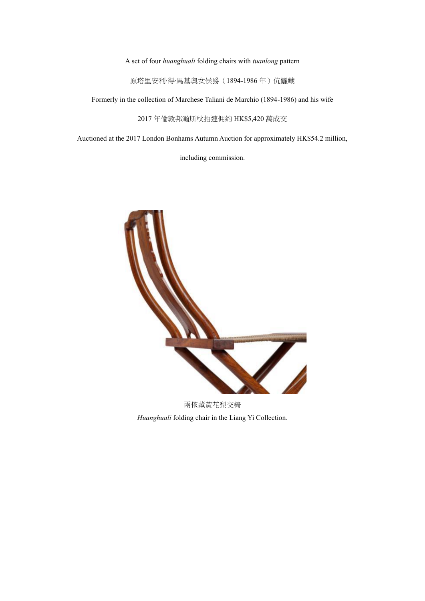A set of four *huanghuali* folding chairs with *tuanlong* pattern

原塔里安利·得·馬基奧女侯爵(1894-1986年)伉儷藏

Formerly in the collection of Marchese Taliani de Marchio (1894-1986) and his wife

2017 年倫敦邦瀚斯秋拍連佣約 HK\$5,420 萬成交

Auctioned at the 2017 London Bonhams Autumn Auction for approximately HK\$54.2 million,

including commission.

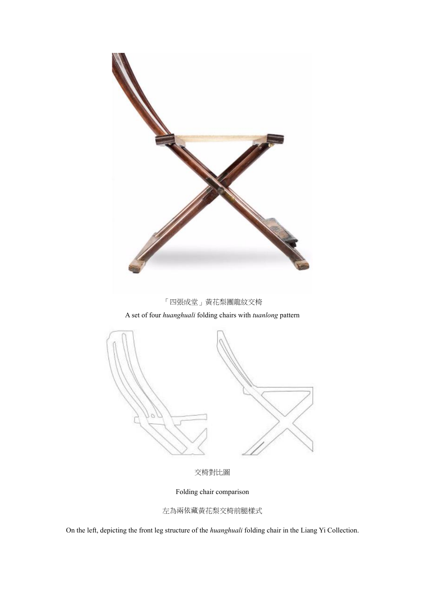

Folding chair comparison

左為兩依藏黃花梨交椅前腿樣式

On the left, depicting the front leg structure of the *huanghuali* folding chair in the Liang Yi Collection.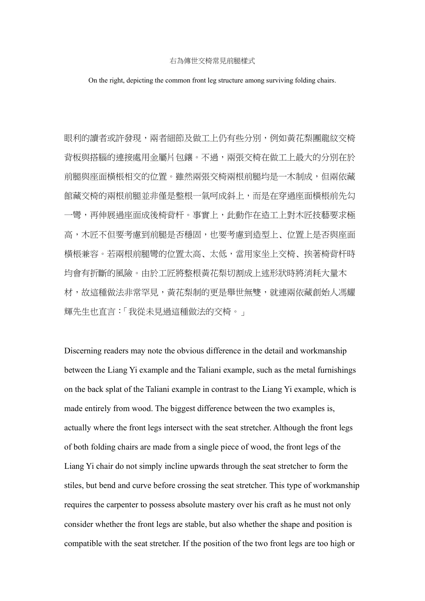#### 右為傳世交椅常見前腿樣式

On the right, depicting the common front leg structure among surviving folding chairs.

眼利的讀者或許發現,兩者細節及做工上仍有些分別,例如黃花梨團龍紋交椅 背板與搭腦的連接處用金屬片包鑲。不過,兩張交椅在做工上最大的分別在於 前腿與座面橫棖相交的位置。雖然兩張交椅兩根前腿均是一木制成,但兩依藏 館藏交椅的兩根前腿並非僅是整根一氣呵成斜上,而是在穿過座面橫棖前先勾 一彎,再伸展過座面成後椅背杆。事實上,此動作在浩工上對木匠技藝要求極 高,木匠不但要考慮到前腿是否穩固,也要考慮到造型上﹑位置上是否與座面 橫棖兼容。若兩根前腿彎的位置太高﹑太低,當用家坐上交椅﹑挨著椅背杆時 均會有折斷的風險。由於工匠將整根黃花梨切割成上述形狀時將消耗大量木 材,故這種做法非常罕見,黃花梨制的更是舉世無雙,就連兩依藏創始人馮耀 輝先生也直言:「我從未見過這種做法的交椅。」

Discerning readers may note the obvious difference in the detail and workmanship between the Liang Yi example and the Taliani example, such as the metal furnishings on the back splat of the Taliani example in contrast to the Liang Yi example, which is made entirely from wood. The biggest difference between the two examples is, actually where the front legs intersect with the seat stretcher. Although the front legs of both folding chairs are made from a single piece of wood, the front legs of the Liang Yi chair do not simply incline upwards through the seat stretcher to form the stiles, but bend and curve before crossing the seat stretcher. This type of workmanship requires the carpenter to possess absolute mastery over his craft as he must not only consider whether the front legs are stable, but also whether the shape and position is compatible with the seat stretcher. If the position of the two front legs are too high or